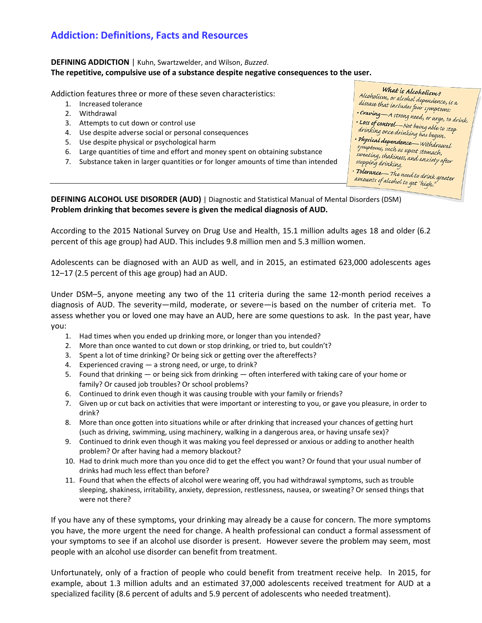# **Addiction: Definitions, Facts and Resources**

### **DEFINING ADDICTION** | Kuhn, Swartzwelder, and Wilson, *Buzzed*. **The repetitive, compulsive use of a substance despite negative consequences to the user.**

Addiction features three or more of these seven characteristics:

- 1. Increased tolerance
- 2. Withdrawal
- 3. Attempts to cut down or control use
- 4. Use despite adverse social or personal consequences
- 5. Use despite physical or psychological harm
- 6. Large quantities of time and effort and money spent on obtaining substance
- 7. Substance taken in larger quantities or for longer amounts of time than intended

disease that includes four symptoms:<br>Cravius disease that includes four symptoms: • Craving—A strong need, or urge, to drink.<br>• Loss of control execution or urge, to drink. .<br>Loss of control—Not being able to stop<br>drinking once drinking to alle to stop drinking once drinking has begun.<br>Physical dawn • Physical dependence — Withdrawal<br>symptoms, such as word Withdrawal symptoms, such as upset stomach,<br>sweating, shaking such such as upset stomach,<br>sweating, shakiness, and anxiety after<br>stopping drinking stopping drinking.

What is Alcoholism? **What is Alcoholism?**<br>Alcoholism, or alcohol dependence, is a<br>disease that includes fails

· Tolerance— The need to drink greater<br>amounts of alcohol +2 21 "1'. " amounts of alcohol to get "high."

**DEFINING ALCOHOL USE DISORDER (AUD)** | Diagnostic and Statistical Manual of Mental Disorders (DSM) **Problem drinking that becomes severe is given the medical diagnosis of AUD.**

According to the 2015 National Survey on Drug Use and Health, 15.1 million adults ages 18 and older (6.2 percent of this age group) had AUD. This includes 9.8 million men and 5.3 million women.

Adolescents can be diagnosed with an AUD as well, and in 2015, an estimated 623,000 adolescents ages 12–17 (2.5 percent of this age group) had an AUD.

Under DSM–5, anyone meeting any two of the 11 criteria during the same 12-month period receives a diagnosis of AUD. The severity—mild, moderate, or severe—is based on the number of criteria met. To assess whether you or loved one may have an AUD, here are some questions to ask. In the past year, have you:

- 1. Had times when you ended up drinking more, or longer than you intended?
- 2. More than once wanted to cut down or stop drinking, or tried to, but couldn't?
- 3. Spent a lot of time drinking? Or being sick or getting over the aftereffects?
- 4. Experienced craving a strong need, or urge, to drink?
- 5. Found that drinking or being sick from drinking often interfered with taking care of your home or family? Or caused job troubles? Or school problems?
- 6. Continued to drink even though it was causing trouble with your family or friends?
- 7. Given up or cut back on activities that were important or interesting to you, or gave you pleasure, in order to drink?
- 8. More than once gotten into situations while or after drinking that increased your chances of getting hurt (such as driving, swimming, using machinery, walking in a dangerous area, or having unsafe sex)?
- 9. Continued to drink even though it was making you feel depressed or anxious or adding to another health problem? Or after having had a memory blackout?
- 10. Had to drink much more than you once did to get the effect you want? Or found that your usual number of drinks had much less effect than before?
- 11. Found that when the effects of alcohol were wearing off, you had withdrawal symptoms, such as trouble sleeping, shakiness, irritability, anxiety, depression, restlessness, nausea, or sweating? Or sensed things that were not there?

If you have any of these symptoms, your drinking may already be a cause for concern. The more symptoms you have, the more urgent the need for change. A health professional can conduct a formal assessment of your symptoms to see if an alcohol use disorder is present. However severe the problem may seem, most people with an alcohol use disorder can benefit from treatment.

Unfortunately, only of a fraction of people who could benefit from treatment receive help. In 2015, for example, about 1.3 million adults and an estimated 37,000 adolescents received treatment for AUD at a specialized facility (8.6 percent of adults and 5.9 percent of adolescents who needed treatment).